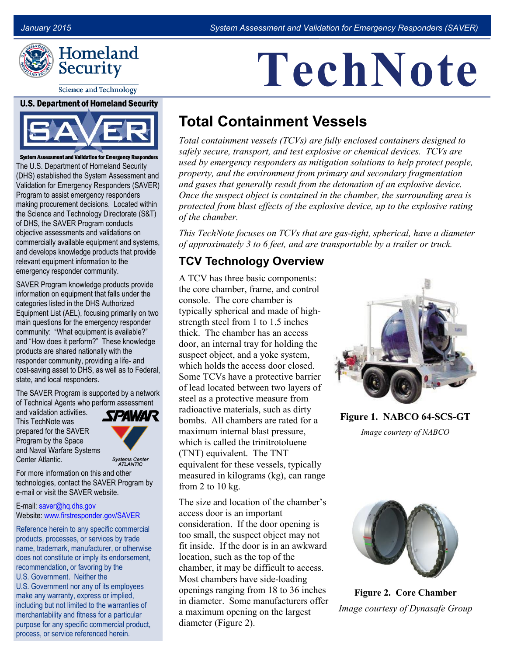**TechNote**



**Science and Technology** 

#### **U.S. Department of Homeland Security**



System Assessment and Validation for Emergency Responders The U.S. Department of Homeland Security (DHS) established the System Assessment and Validation for Emergency Responders (SAVER) Program to assist emergency responders making procurement decisions. Located within the Science and Technology Directorate (S&T) of DHS, the SAVER Program conducts objective assessments and validations on commercially available equipment and systems, and develops knowledge products that provide relevant equipment information to the emergency responder community.

SAVER Program knowledge products provide information on equipment that falls under the categories listed in the DHS Authorized Equipment List (AEL), focusing primarily on two main questions for the emergency responder community: "What equipment is available?" and "How does it perform?" These knowledge products are shared nationally with the responder community, providing a life- and cost-saving asset to DHS, as well as to Federal, state, and local responders.

The SAVER Program is supported by a network of Technical Agents who perform assessment

and validation activities. This TechNote was prepared for the SAVER Program by the Space and Naval Warfare Systems Center Atlantic.



Systems Center<br>ATLANTIC

For more information on this and other technologies, contact the SAVER Program by e-mail or visit the SAVER website.

### E-mail: [saver@hq.dhs.gov](mailto:saver@hq.dhs.gov) Website: [www.firstresponder.gov/SAVER](http://www.firstresponder.gov/SAVER)

Reference herein to any specific commercial products, processes, or services by trade name, trademark, manufacturer, or otherwise does not constitute or imply its endorsement, recommendation, or favoring by the U.S. Government. Neither the U.S. Government nor any of its employees make any warranty, express or implied, including but not limited to the warranties of merchantability and fitness for a particular purpose for any specific commercial product, process, or service referenced herein.

# **Total Containment Vessels**

*Total containment vessels (TCVs) are fully enclosed containers designed to safely secure, transport, and test explosive or chemical devices. TCVs are used by emergency responders as mitigation solutions to help protect people, property, and the environment from primary and secondary fragmentation and gases that generally result from the detonation of an explosive device. Once the suspect object is contained in the chamber, the surrounding area is protected from blast effects of the explosive device, up to the explosive rating of the chamber.* 

*This TechNote focuses on TCVs that are gas-tight, spherical, have a diameter of approximately 3 to 6 feet, and are transportable by a trailer or truck.*

## **TCV Technology Overview**

A TCV has three basic components: the core chamber, frame, and control console. The core chamber is typically spherical and made of highstrength steel from 1 to 1.5 inches thick. The chamber has an access door, an internal tray for holding the suspect object, and a yoke system, which holds the access door closed. Some TCVs have a protective barrier of lead located between two layers of steel as a protective measure from radioactive materials, such as dirty bombs. All chambers are rated for a maximum internal blast pressure, which is called the trinitrotoluene (TNT) equivalent. The TNT equivalent for these vessels, typically measured in kilograms (kg), can range from 2 to 10 kg.

The size and location of the chamber's access door is an important consideration. If the door opening is too small, the suspect object may not fit inside. If the door is in an awkward location, such as the top of the chamber, it may be difficult to access. Most chambers have side-loading openings ranging from 18 to 36 inches in diameter. Some manufacturers offer a maximum opening on the largest diameter (Figure 2).



**Figure 1. NABCO 64-SCS-GT**

*Image courtesy of NABCO*



**Figure 2. Core Chamber** *Image courtesy of Dynasafe Group*